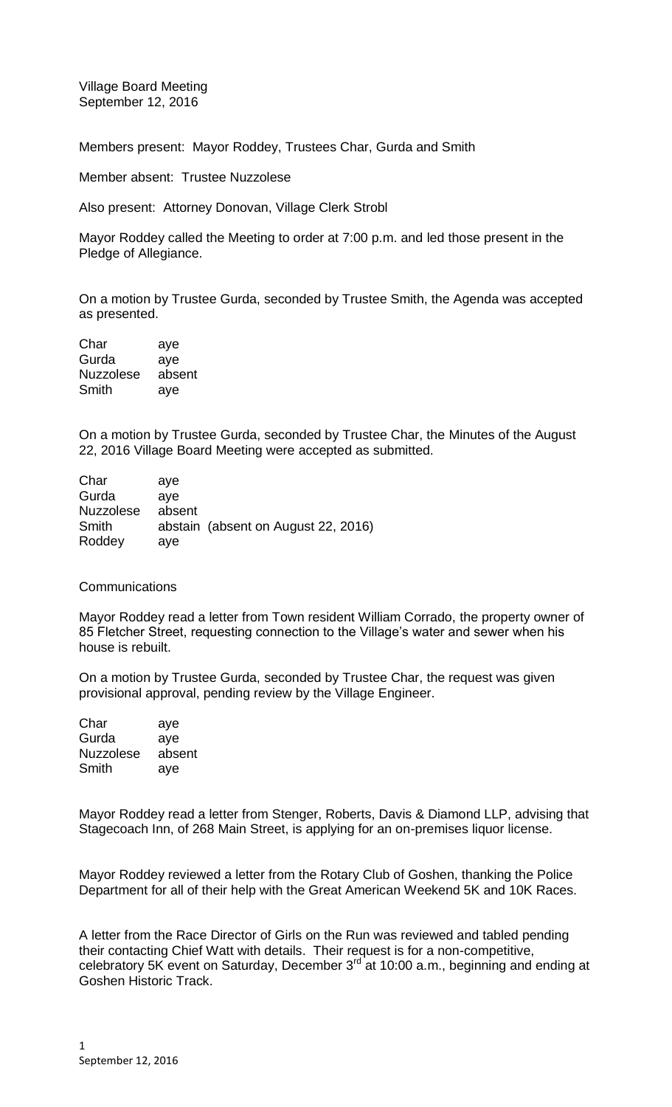Village Board Meeting September 12, 2016

Members present: Mayor Roddey, Trustees Char, Gurda and Smith

Member absent: Trustee Nuzzolese

Also present: Attorney Donovan, Village Clerk Strobl

Mayor Roddey called the Meeting to order at 7:00 p.m. and led those present in the Pledge of Allegiance.

On a motion by Trustee Gurda, seconded by Trustee Smith, the Agenda was accepted as presented.

| Char             | aye    |
|------------------|--------|
| Gurda            | aye    |
| <b>Nuzzolese</b> | absent |
| Smith            | aye    |

On a motion by Trustee Gurda, seconded by Trustee Char, the Minutes of the August 22, 2016 Village Board Meeting were accepted as submitted.

| Char             | ave    |                                     |
|------------------|--------|-------------------------------------|
| Gurda            | ave    |                                     |
| <b>Nuzzolese</b> | absent |                                     |
| Smith            |        | abstain (absent on August 22, 2016) |
| Roddey           | aye    |                                     |

**Communications** 

Mayor Roddey read a letter from Town resident William Corrado, the property owner of 85 Fletcher Street, requesting connection to the Village's water and sewer when his house is rebuilt.

On a motion by Trustee Gurda, seconded by Trustee Char, the request was given provisional approval, pending review by the Village Engineer.

| Char             | aye    |
|------------------|--------|
| Gurda            | aye    |
| <b>Nuzzolese</b> | absent |
| Smith            | aye    |

Mayor Roddey read a letter from Stenger, Roberts, Davis & Diamond LLP, advising that Stagecoach Inn, of 268 Main Street, is applying for an on-premises liquor license.

Mayor Roddey reviewed a letter from the Rotary Club of Goshen, thanking the Police Department for all of their help with the Great American Weekend 5K and 10K Races.

A letter from the Race Director of Girls on the Run was reviewed and tabled pending their contacting Chief Watt with details. Their request is for a non-competitive, celebratory 5K event on Saturday, December 3<sup>rd</sup> at 10:00 a.m., beginning and ending at Goshen Historic Track.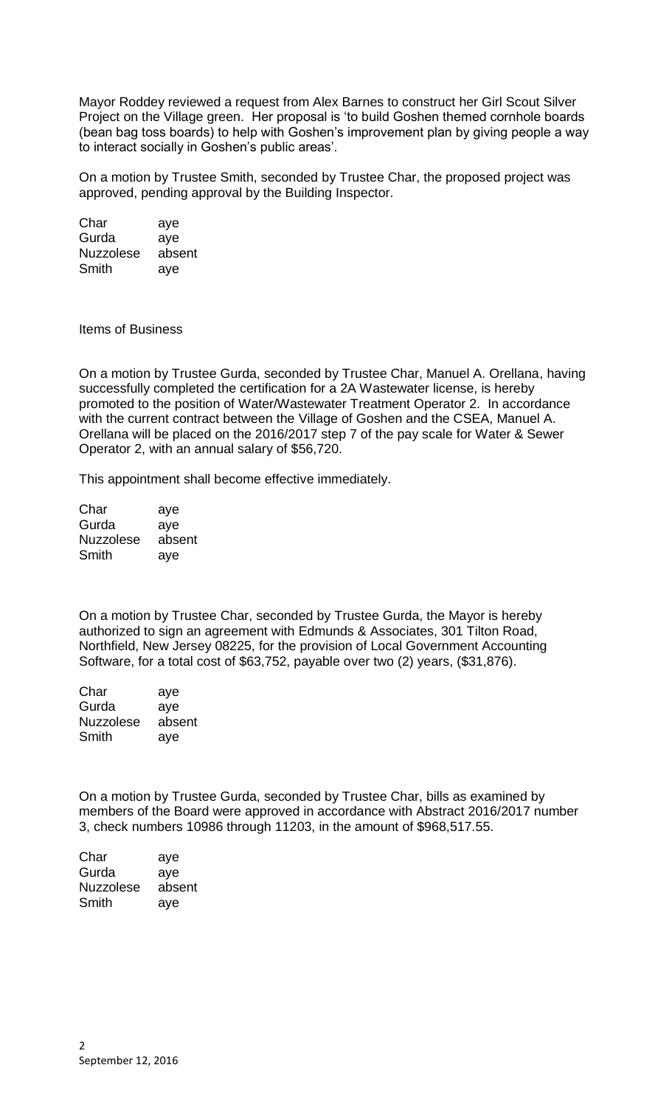Mayor Roddey reviewed a request from Alex Barnes to construct her Girl Scout Silver Project on the Village green. Her proposal is 'to build Goshen themed cornhole boards (bean bag toss boards) to help with Goshen's improvement plan by giving people a way to interact socially in Goshen's public areas'.

On a motion by Trustee Smith, seconded by Trustee Char, the proposed project was approved, pending approval by the Building Inspector.

Char aye Gurda aye Nuzzolese absent Smith aye

Items of Business

On a motion by Trustee Gurda, seconded by Trustee Char, Manuel A. Orellana, having successfully completed the certification for a 2A Wastewater license, is hereby promoted to the position of Water/Wastewater Treatment Operator 2. In accordance with the current contract between the Village of Goshen and the CSEA, Manuel A. Orellana will be placed on the 2016/2017 step 7 of the pay scale for Water & Sewer Operator 2, with an annual salary of \$56,720.

This appointment shall become effective immediately.

| Char             | aye    |
|------------------|--------|
| Gurda            | aye    |
| <b>Nuzzolese</b> | absent |
| Smith            | aye    |

On a motion by Trustee Char, seconded by Trustee Gurda, the Mayor is hereby authorized to sign an agreement with Edmunds & Associates, 301 Tilton Road, Northfield, New Jersey 08225, for the provision of Local Government Accounting Software, for a total cost of \$63,752, payable over two (2) years, (\$31,876).

| Char             | aye    |
|------------------|--------|
| Gurda            | aye    |
| <b>Nuzzolese</b> | absent |
| Smith            | aye    |

On a motion by Trustee Gurda, seconded by Trustee Char, bills as examined by members of the Board were approved in accordance with Abstract 2016/2017 number 3, check numbers 10986 through 11203, in the amount of \$968,517.55.

| Char             | aye    |
|------------------|--------|
| Gurda            | aye    |
| <b>Nuzzolese</b> | absent |
| Smith            | aye    |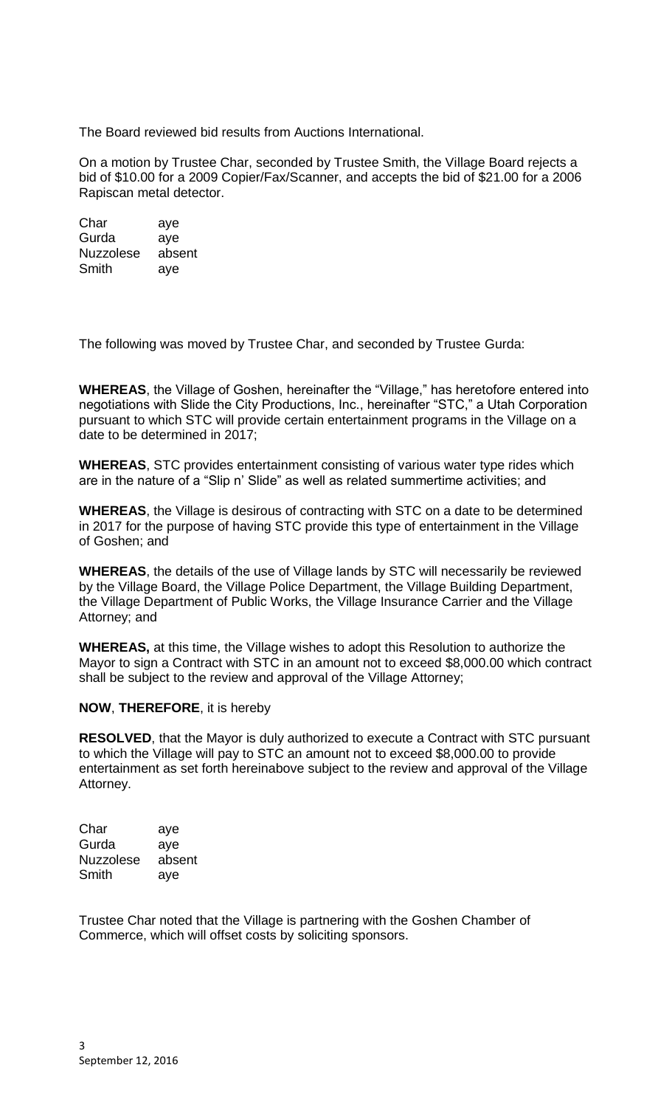The Board reviewed bid results from Auctions International.

On a motion by Trustee Char, seconded by Trustee Smith, the Village Board rejects a bid of \$10.00 for a 2009 Copier/Fax/Scanner, and accepts the bid of \$21.00 for a 2006 Rapiscan metal detector.

Char aye Gurda aye Nuzzolese absent Smith aye

The following was moved by Trustee Char, and seconded by Trustee Gurda:

**WHEREAS**, the Village of Goshen, hereinafter the "Village," has heretofore entered into negotiations with Slide the City Productions, Inc., hereinafter "STC," a Utah Corporation pursuant to which STC will provide certain entertainment programs in the Village on a date to be determined in 2017;

**WHEREAS**, STC provides entertainment consisting of various water type rides which are in the nature of a "Slip n' Slide" as well as related summertime activities; and

**WHEREAS**, the Village is desirous of contracting with STC on a date to be determined in 2017 for the purpose of having STC provide this type of entertainment in the Village of Goshen; and

**WHEREAS**, the details of the use of Village lands by STC will necessarily be reviewed by the Village Board, the Village Police Department, the Village Building Department, the Village Department of Public Works, the Village Insurance Carrier and the Village Attorney; and

**WHEREAS,** at this time, the Village wishes to adopt this Resolution to authorize the Mayor to sign a Contract with STC in an amount not to exceed \$8,000.00 which contract shall be subject to the review and approval of the Village Attorney;

## **NOW**, **THEREFORE**, it is hereby

**RESOLVED**, that the Mayor is duly authorized to execute a Contract with STC pursuant to which the Village will pay to STC an amount not to exceed \$8,000.00 to provide entertainment as set forth hereinabove subject to the review and approval of the Village Attorney.

Char aye Gurda aye Nuzzolese absent Smith aye

Trustee Char noted that the Village is partnering with the Goshen Chamber of Commerce, which will offset costs by soliciting sponsors.